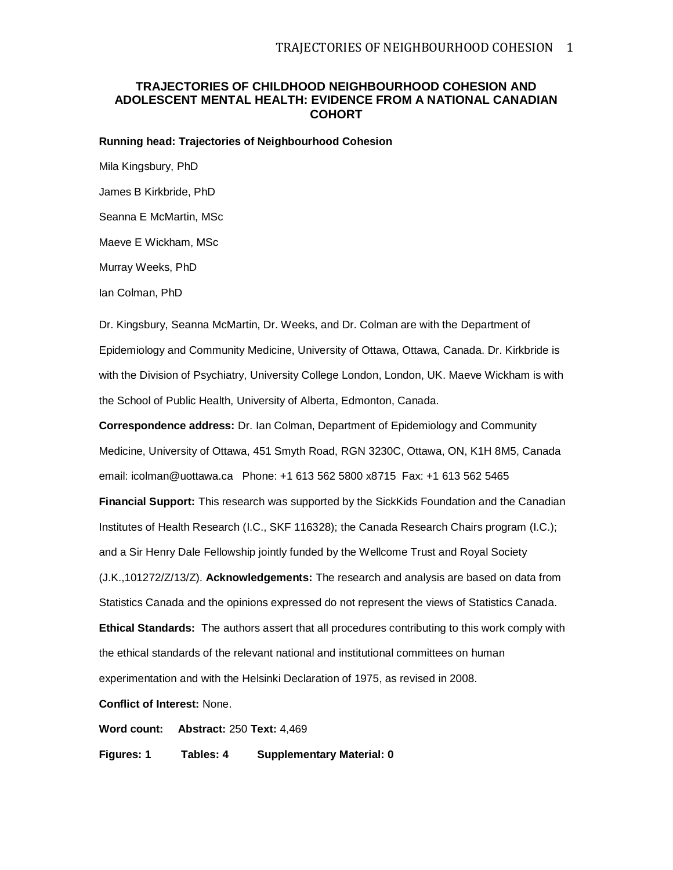# **TRAJECTORIES OF CHILDHOOD NEIGHBOURHOOD COHESION AND ADOLESCENT MENTAL HEALTH: EVIDENCE FROM A NATIONAL CANADIAN COHORT**

**Running head: Trajectories of Neighbourhood Cohesion**

Mila Kingsbury, PhD James B Kirkbride, PhD Seanna E McMartin, MSc Maeve E Wickham, MSc

Murray Weeks, PhD

Ian Colman, PhD

Dr. Kingsbury, Seanna McMartin, Dr. Weeks, and Dr. Colman are with the Department of Epidemiology and Community Medicine, University of Ottawa, Ottawa, Canada. Dr. Kirkbride is with the Division of Psychiatry, University College London, London, UK. Maeve Wickham is with the School of Public Health, University of Alberta, Edmonton, Canada.

**Correspondence address:** Dr. Ian Colman, Department of Epidemiology and Community Medicine, University of Ottawa, 451 Smyth Road, RGN 3230C, Ottawa, ON, K1H 8M5, Canada email: icolman@uottawa.ca Phone: +1 613 562 5800 x8715 Fax: +1 613 562 5465

**Financial Support:** This research was supported by the SickKids Foundation and the Canadian Institutes of Health Research (I.C., SKF 116328); the Canada Research Chairs program (I.C.); and a Sir Henry Dale Fellowship jointly funded by the Wellcome Trust and Royal Society

(J.K.,101272/Z/13/Z). **Acknowledgements:** The research and analysis are based on data from

Statistics Canada and the opinions expressed do not represent the views of Statistics Canada.

**Ethical Standards:** The authors assert that all procedures contributing to this work comply with the ethical standards of the relevant national and institutional committees on human experimentation and with the Helsinki Declaration of 1975, as revised in 2008.

**Conflict of Interest:** None.

**Word count: Abstract:** 250 **Text:** 4,469

**Figures: 1 Tables: 4 Supplementary Material: 0**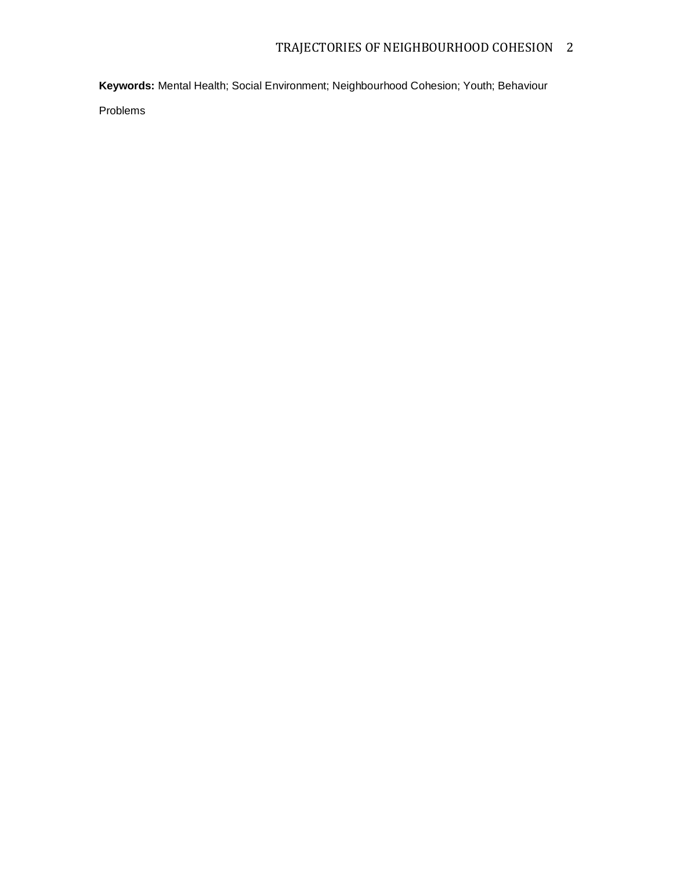**Keywords:** Mental Health; Social Environment; Neighbourhood Cohesion; Youth; Behaviour

Problems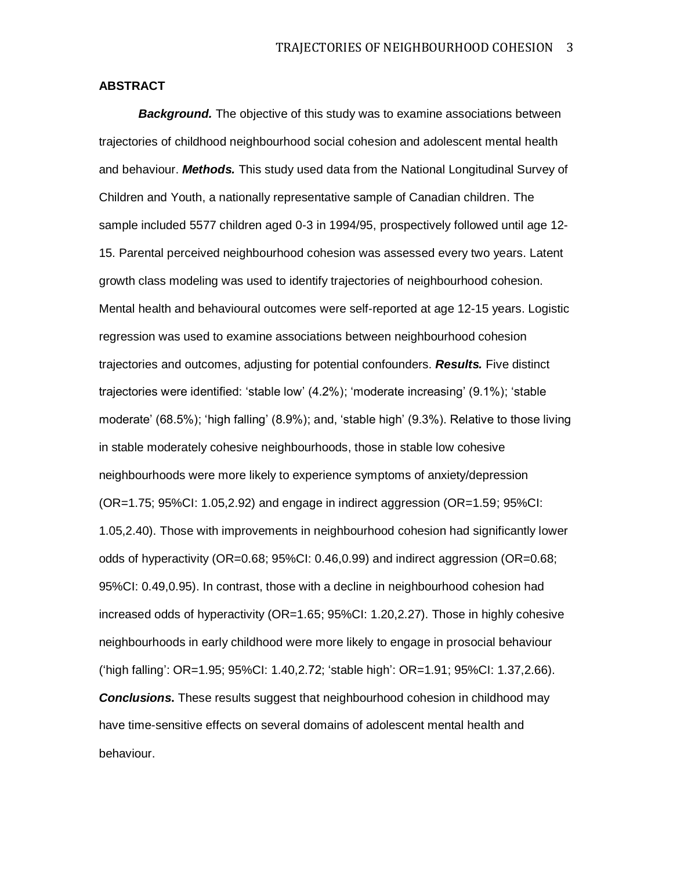# **ABSTRACT**

*Background.* The objective of this study was to examine associations between trajectories of childhood neighbourhood social cohesion and adolescent mental health and behaviour. *Methods.* This study used data from the National Longitudinal Survey of Children and Youth, a nationally representative sample of Canadian children. The sample included 5577 children aged 0-3 in 1994/95, prospectively followed until age 12- 15. Parental perceived neighbourhood cohesion was assessed every two years. Latent growth class modeling was used to identify trajectories of neighbourhood cohesion. Mental health and behavioural outcomes were self-reported at age 12-15 years. Logistic regression was used to examine associations between neighbourhood cohesion trajectories and outcomes, adjusting for potential confounders. *Results.* Five distinct trajectories were identified: 'stable low' (4.2%); 'moderate increasing' (9.1%); 'stable moderate' (68.5%); 'high falling' (8.9%); and, 'stable high' (9.3%). Relative to those living in stable moderately cohesive neighbourhoods, those in stable low cohesive neighbourhoods were more likely to experience symptoms of anxiety/depression (OR=1.75; 95%CI: 1.05,2.92) and engage in indirect aggression (OR=1.59; 95%CI: 1.05,2.40). Those with improvements in neighbourhood cohesion had significantly lower odds of hyperactivity (OR=0.68; 95%CI: 0.46,0.99) and indirect aggression (OR=0.68; 95%CI: 0.49,0.95). In contrast, those with a decline in neighbourhood cohesion had increased odds of hyperactivity (OR=1.65; 95%CI: 1.20,2.27). Those in highly cohesive neighbourhoods in early childhood were more likely to engage in prosocial behaviour ('high falling': OR=1.95; 95%CI: 1.40,2.72; 'stable high': OR=1.91; 95%CI: 1.37,2.66). **Conclusions.** These results suggest that neighbourhood cohesion in childhood may have time-sensitive effects on several domains of adolescent mental health and behaviour.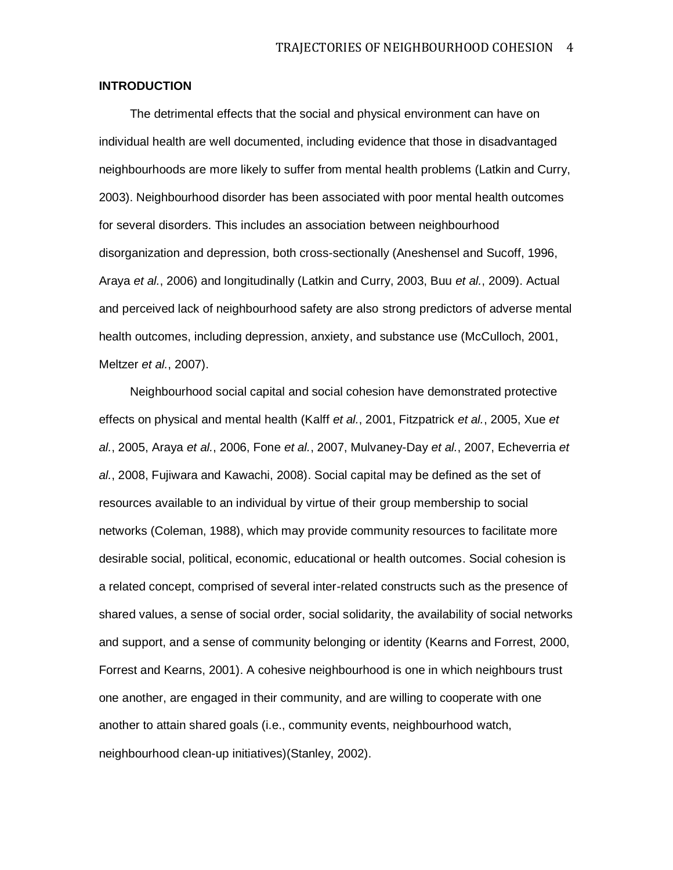# **INTRODUCTION**

The detrimental effects that the social and physical environment can have on individual health are well documented, including evidence that those in disadvantaged neighbourhoods are more likely to suffer from mental health problems (Latkin and Curry, 2003). Neighbourhood disorder has been associated with poor mental health outcomes for several disorders. This includes an association between neighbourhood disorganization and depression, both cross-sectionally (Aneshensel and Sucoff, 1996, Araya *et al.*, 2006) and longitudinally (Latkin and Curry, 2003, Buu *et al.*, 2009). Actual and perceived lack of neighbourhood safety are also strong predictors of adverse mental health outcomes, including depression, anxiety, and substance use (McCulloch, 2001, Meltzer *et al.*, 2007).

Neighbourhood social capital and social cohesion have demonstrated protective effects on physical and mental health (Kalff *et al.*, 2001, Fitzpatrick *et al.*, 2005, Xue *et al.*, 2005, Araya *et al.*, 2006, Fone *et al.*, 2007, Mulvaney-Day *et al.*, 2007, Echeverria *et al.*, 2008, Fujiwara and Kawachi, 2008). Social capital may be defined as the set of resources available to an individual by virtue of their group membership to social networks (Coleman, 1988), which may provide community resources to facilitate more desirable social, political, economic, educational or health outcomes. Social cohesion is a related concept, comprised of several inter-related constructs such as the presence of shared values, a sense of social order, social solidarity, the availability of social networks and support, and a sense of community belonging or identity (Kearns and Forrest, 2000, Forrest and Kearns, 2001). A cohesive neighbourhood is one in which neighbours trust one another, are engaged in their community, and are willing to cooperate with one another to attain shared goals (i.e., community events, neighbourhood watch, neighbourhood clean-up initiatives)(Stanley, 2002).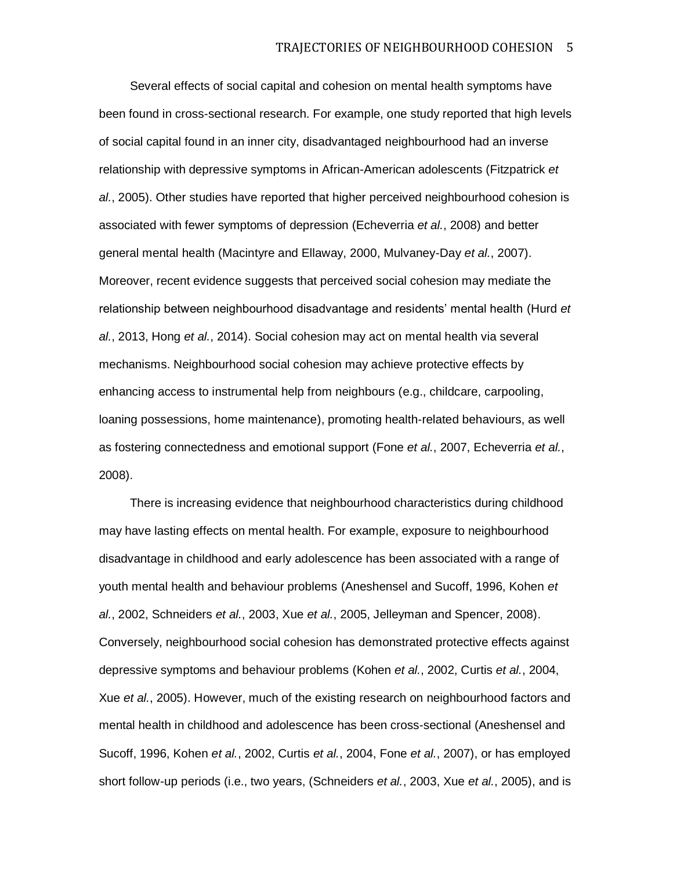Several effects of social capital and cohesion on mental health symptoms have been found in cross-sectional research. For example, one study reported that high levels of social capital found in an inner city, disadvantaged neighbourhood had an inverse relationship with depressive symptoms in African-American adolescents (Fitzpatrick *et al.*, 2005). Other studies have reported that higher perceived neighbourhood cohesion is associated with fewer symptoms of depression (Echeverria *et al.*, 2008) and better general mental health (Macintyre and Ellaway, 2000, Mulvaney-Day *et al.*, 2007). Moreover, recent evidence suggests that perceived social cohesion may mediate the relationship between neighbourhood disadvantage and residents' mental health (Hurd *et al.*, 2013, Hong *et al.*, 2014). Social cohesion may act on mental health via several mechanisms. Neighbourhood social cohesion may achieve protective effects by enhancing access to instrumental help from neighbours (e.g., childcare, carpooling, loaning possessions, home maintenance), promoting health-related behaviours, as well as fostering connectedness and emotional support (Fone *et al.*, 2007, Echeverria *et al.*, 2008).

There is increasing evidence that neighbourhood characteristics during childhood may have lasting effects on mental health. For example, exposure to neighbourhood disadvantage in childhood and early adolescence has been associated with a range of youth mental health and behaviour problems (Aneshensel and Sucoff, 1996, Kohen *et al.*, 2002, Schneiders *et al.*, 2003, Xue *et al.*, 2005, Jelleyman and Spencer, 2008). Conversely, neighbourhood social cohesion has demonstrated protective effects against depressive symptoms and behaviour problems (Kohen *et al.*, 2002, Curtis *et al.*, 2004, Xue *et al.*, 2005). However, much of the existing research on neighbourhood factors and mental health in childhood and adolescence has been cross-sectional (Aneshensel and Sucoff, 1996, Kohen *et al.*, 2002, Curtis *et al.*, 2004, Fone *et al.*, 2007), or has employed short follow-up periods (i.e., two years, (Schneiders *et al.*, 2003, Xue *et al.*, 2005), and is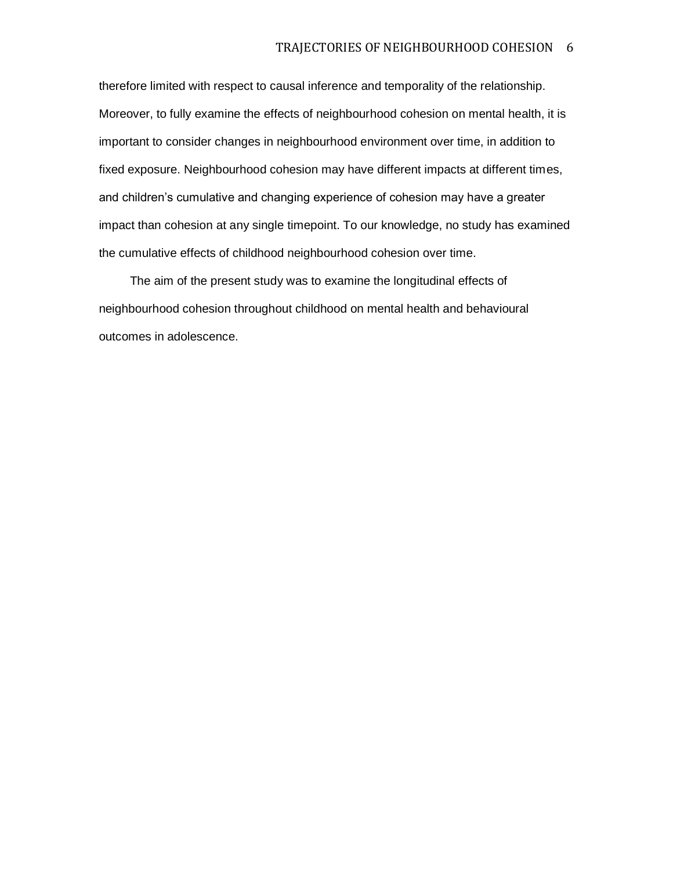therefore limited with respect to causal inference and temporality of the relationship. Moreover, to fully examine the effects of neighbourhood cohesion on mental health, it is important to consider changes in neighbourhood environment over time, in addition to fixed exposure. Neighbourhood cohesion may have different impacts at different times, and children's cumulative and changing experience of cohesion may have a greater impact than cohesion at any single timepoint. To our knowledge, no study has examined the cumulative effects of childhood neighbourhood cohesion over time.

The aim of the present study was to examine the longitudinal effects of neighbourhood cohesion throughout childhood on mental health and behavioural outcomes in adolescence.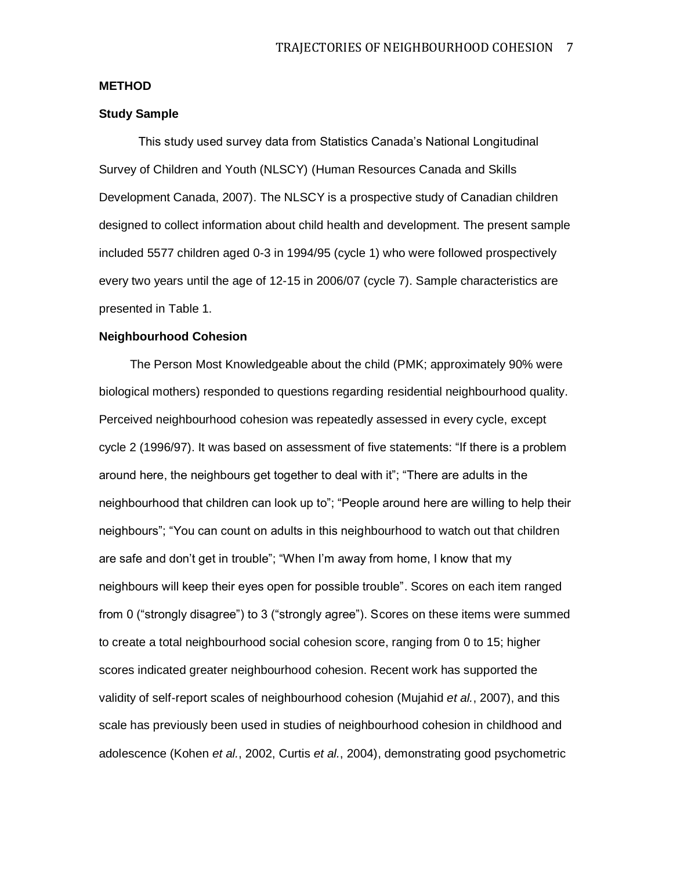# **METHOD**

#### **Study Sample**

This study used survey data from Statistics Canada's National Longitudinal Survey of Children and Youth (NLSCY) (Human Resources Canada and Skills Development Canada, 2007). The NLSCY is a prospective study of Canadian children designed to collect information about child health and development. The present sample included 5577 children aged 0-3 in 1994/95 (cycle 1) who were followed prospectively every two years until the age of 12-15 in 2006/07 (cycle 7). Sample characteristics are presented in Table 1.

#### **Neighbourhood Cohesion**

The Person Most Knowledgeable about the child (PMK; approximately 90% were biological mothers) responded to questions regarding residential neighbourhood quality. Perceived neighbourhood cohesion was repeatedly assessed in every cycle, except cycle 2 (1996/97). It was based on assessment of five statements: "If there is a problem around here, the neighbours get together to deal with it"; "There are adults in the neighbourhood that children can look up to"; "People around here are willing to help their neighbours"; "You can count on adults in this neighbourhood to watch out that children are safe and don't get in trouble"; "When I'm away from home, I know that my neighbours will keep their eyes open for possible trouble". Scores on each item ranged from 0 ("strongly disagree") to 3 ("strongly agree"). Scores on these items were summed to create a total neighbourhood social cohesion score, ranging from 0 to 15; higher scores indicated greater neighbourhood cohesion. Recent work has supported the validity of self-report scales of neighbourhood cohesion (Mujahid *et al.*, 2007), and this scale has previously been used in studies of neighbourhood cohesion in childhood and adolescence (Kohen *et al.*, 2002, Curtis *et al.*, 2004), demonstrating good psychometric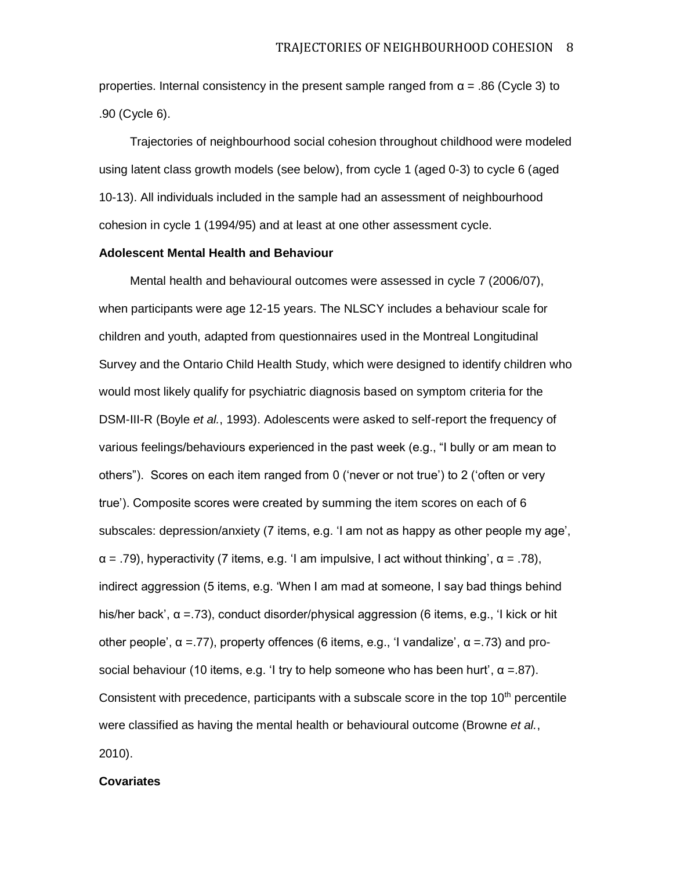properties. Internal consistency in the present sample ranged from  $\alpha = .86$  (Cycle 3) to .90 (Cycle 6).

Trajectories of neighbourhood social cohesion throughout childhood were modeled using latent class growth models (see below), from cycle 1 (aged 0-3) to cycle 6 (aged 10-13). All individuals included in the sample had an assessment of neighbourhood cohesion in cycle 1 (1994/95) and at least at one other assessment cycle.

# **Adolescent Mental Health and Behaviour**

Mental health and behavioural outcomes were assessed in cycle 7 (2006/07), when participants were age 12-15 years. The NLSCY includes a behaviour scale for children and youth, adapted from questionnaires used in the Montreal Longitudinal Survey and the Ontario Child Health Study, which were designed to identify children who would most likely qualify for psychiatric diagnosis based on symptom criteria for the DSM-III-R (Boyle *et al.*, 1993). Adolescents were asked to self-report the frequency of various feelings/behaviours experienced in the past week (e.g., "I bully or am mean to others"). Scores on each item ranged from 0 ('never or not true') to 2 ('often or very true'). Composite scores were created by summing the item scores on each of 6 subscales: depression/anxiety (7 items, e.g. 'I am not as happy as other people my age',  $\alpha$  = .79), hyperactivity (7 items, e.g. 'I am impulsive, I act without thinking',  $\alpha$  = .78), indirect aggression (5 items, e.g. 'When I am mad at someone, I say bad things behind his/her back',  $\alpha = 73$ ), conduct disorder/physical aggression (6 items, e.g., 'I kick or hit other people',  $\alpha = 77$ ), property offences (6 items, e.g., 'I vandalize',  $\alpha = 73$ ) and prosocial behaviour (10 items, e.g. 'I try to help someone who has been hurt',  $\alpha = 87$ ). Consistent with precedence, participants with a subscale score in the top  $10<sup>th</sup>$  percentile were classified as having the mental health or behavioural outcome (Browne *et al.*, 2010).

## **Covariates**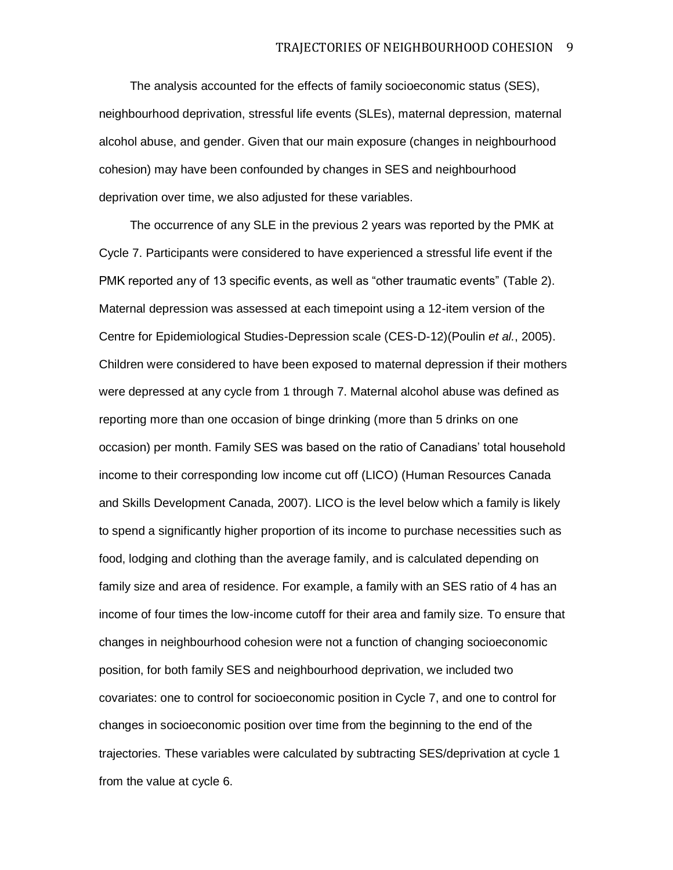The analysis accounted for the effects of family socioeconomic status (SES), neighbourhood deprivation, stressful life events (SLEs), maternal depression, maternal alcohol abuse, and gender. Given that our main exposure (changes in neighbourhood cohesion) may have been confounded by changes in SES and neighbourhood deprivation over time, we also adjusted for these variables.

The occurrence of any SLE in the previous 2 years was reported by the PMK at Cycle 7. Participants were considered to have experienced a stressful life event if the PMK reported any of 13 specific events, as well as "other traumatic events" (Table 2). Maternal depression was assessed at each timepoint using a 12-item version of the Centre for Epidemiological Studies-Depression scale (CES-D-12)(Poulin *et al.*, 2005). Children were considered to have been exposed to maternal depression if their mothers were depressed at any cycle from 1 through 7. Maternal alcohol abuse was defined as reporting more than one occasion of binge drinking (more than 5 drinks on one occasion) per month. Family SES was based on the ratio of Canadians' total household income to their corresponding low income cut off (LICO) (Human Resources Canada and Skills Development Canada, 2007). LICO is the level below which a family is likely to spend a significantly higher proportion of its income to purchase necessities such as food, lodging and clothing than the average family, and is calculated depending on family size and area of residence. For example, a family with an SES ratio of 4 has an income of four times the low-income cutoff for their area and family size. To ensure that changes in neighbourhood cohesion were not a function of changing socioeconomic position, for both family SES and neighbourhood deprivation, we included two covariates: one to control for socioeconomic position in Cycle 7, and one to control for changes in socioeconomic position over time from the beginning to the end of the trajectories. These variables were calculated by subtracting SES/deprivation at cycle 1 from the value at cycle 6.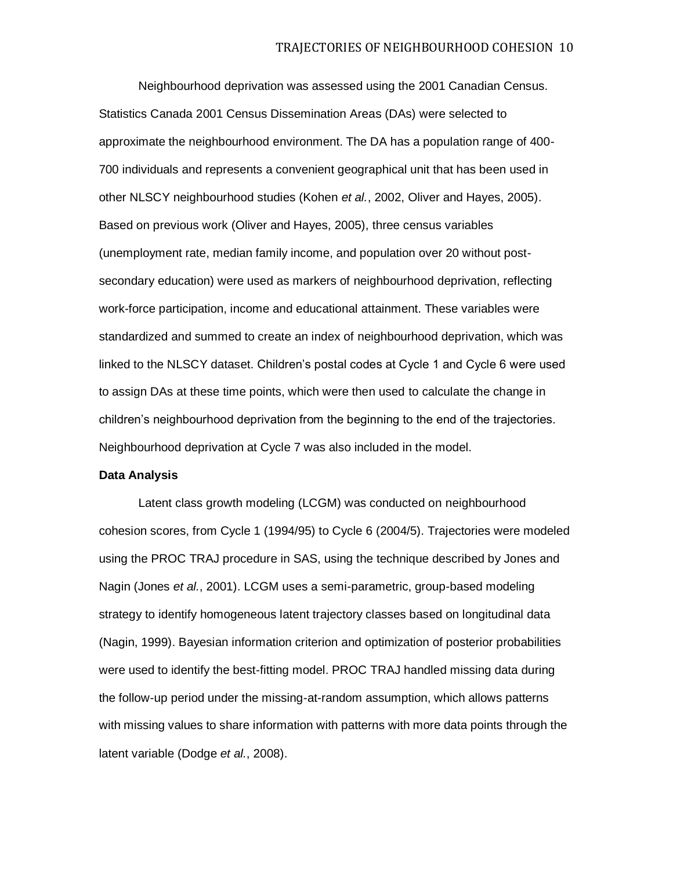Neighbourhood deprivation was assessed using the 2001 Canadian Census. Statistics Canada 2001 Census Dissemination Areas (DAs) were selected to approximate the neighbourhood environment. The DA has a population range of 400- 700 individuals and represents a convenient geographical unit that has been used in other NLSCY neighbourhood studies (Kohen *et al.*, 2002, Oliver and Hayes, 2005). Based on previous work (Oliver and Hayes, 2005), three census variables (unemployment rate, median family income, and population over 20 without postsecondary education) were used as markers of neighbourhood deprivation, reflecting work-force participation, income and educational attainment. These variables were standardized and summed to create an index of neighbourhood deprivation, which was linked to the NLSCY dataset. Children's postal codes at Cycle 1 and Cycle 6 were used to assign DAs at these time points, which were then used to calculate the change in children's neighbourhood deprivation from the beginning to the end of the trajectories. Neighbourhood deprivation at Cycle 7 was also included in the model.

#### **Data Analysis**

Latent class growth modeling (LCGM) was conducted on neighbourhood cohesion scores, from Cycle 1 (1994/95) to Cycle 6 (2004/5). Trajectories were modeled using the PROC TRAJ procedure in SAS, using the technique described by Jones and Nagin (Jones *et al.*, 2001). LCGM uses a semi-parametric, group-based modeling strategy to identify homogeneous latent trajectory classes based on longitudinal data (Nagin, 1999). Bayesian information criterion and optimization of posterior probabilities were used to identify the best-fitting model. PROC TRAJ handled missing data during the follow-up period under the missing-at-random assumption, which allows patterns with missing values to share information with patterns with more data points through the latent variable (Dodge *et al.*, 2008).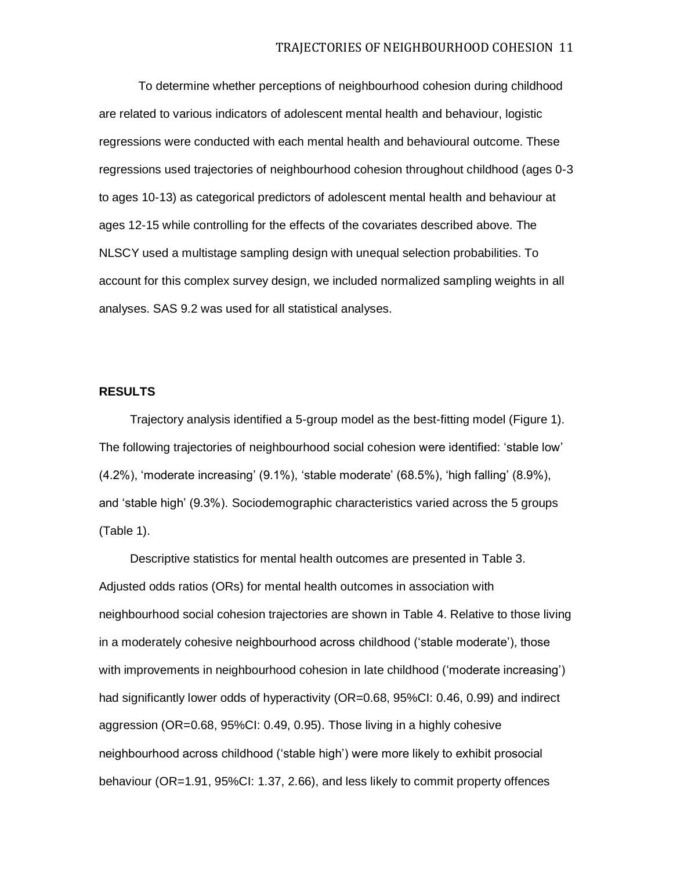To determine whether perceptions of neighbourhood cohesion during childhood are related to various indicators of adolescent mental health and behaviour, logistic regressions were conducted with each mental health and behavioural outcome. These regressions used trajectories of neighbourhood cohesion throughout childhood (ages 0-3 to ages 10-13) as categorical predictors of adolescent mental health and behaviour at ages 12-15 while controlling for the effects of the covariates described above. The NLSCY used a multistage sampling design with unequal selection probabilities. To account for this complex survey design, we included normalized sampling weights in all analyses. SAS 9.2 was used for all statistical analyses.

## **RESULTS**

Trajectory analysis identified a 5-group model as the best-fitting model (Figure 1). The following trajectories of neighbourhood social cohesion were identified: 'stable low' (4.2%), 'moderate increasing' (9.1%), 'stable moderate' (68.5%), 'high falling' (8.9%), and 'stable high' (9.3%). Sociodemographic characteristics varied across the 5 groups (Table 1).

Descriptive statistics for mental health outcomes are presented in Table 3. Adjusted odds ratios (ORs) for mental health outcomes in association with neighbourhood social cohesion trajectories are shown in Table 4. Relative to those living in a moderately cohesive neighbourhood across childhood ('stable moderate'), those with improvements in neighbourhood cohesion in late childhood ('moderate increasing') had significantly lower odds of hyperactivity (OR=0.68, 95%CI: 0.46, 0.99) and indirect aggression (OR=0.68, 95%CI: 0.49, 0.95). Those living in a highly cohesive neighbourhood across childhood ('stable high') were more likely to exhibit prosocial behaviour (OR=1.91, 95%CI: 1.37, 2.66), and less likely to commit property offences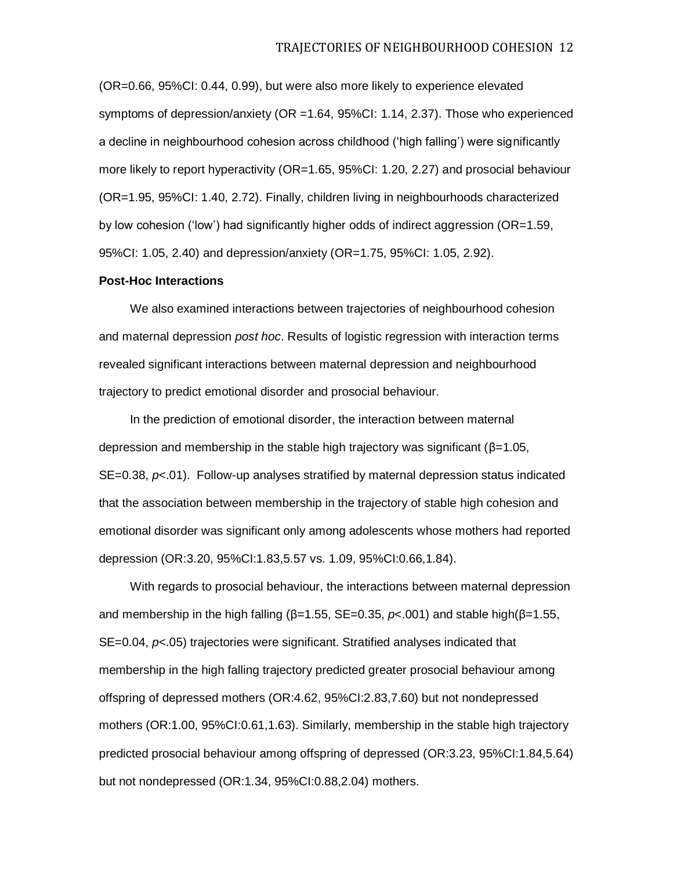(OR=0.66, 95%CI: 0.44, 0.99), but were also more likely to experience elevated symptoms of depression/anxiety (OR =1.64, 95%CI: 1.14, 2.37). Those who experienced a decline in neighbourhood cohesion across childhood ('high falling') were significantly more likely to report hyperactivity (OR=1.65, 95%CI: 1.20, 2.27) and prosocial behaviour (OR=1.95, 95%CI: 1.40, 2.72). Finally, children living in neighbourhoods characterized by low cohesion ('low') had significantly higher odds of indirect aggression (OR=1.59, 95%CI: 1.05, 2.40) and depression/anxiety (OR=1.75, 95%CI: 1.05, 2.92).

#### **Post-Hoc Interactions**

We also examined interactions between trajectories of neighbourhood cohesion and maternal depression *post hoc*. Results of logistic regression with interaction terms revealed significant interactions between maternal depression and neighbourhood trajectory to predict emotional disorder and prosocial behaviour.

In the prediction of emotional disorder, the interaction between maternal depression and membership in the stable high trajectory was significant (β=1.05, SE=0.38, *p*<.01). Follow-up analyses stratified by maternal depression status indicated that the association between membership in the trajectory of stable high cohesion and emotional disorder was significant only among adolescents whose mothers had reported depression (OR:3.20, 95%CI:1.83,5.57 vs. 1.09, 95%CI:0.66,1.84).

With regards to prosocial behaviour, the interactions between maternal depression and membership in the high falling ( $β=1.55$ , SE=0.35,  $ρ<.001$ ) and stable high( $β=1.55$ , SE=0.04,  $p$ <.05) trajectories were significant. Stratified analyses indicated that membership in the high falling trajectory predicted greater prosocial behaviour among offspring of depressed mothers (OR:4.62, 95%CI:2.83,7.60) but not nondepressed mothers (OR:1.00, 95%CI:0.61,1.63). Similarly, membership in the stable high trajectory predicted prosocial behaviour among offspring of depressed (OR:3.23, 95%CI:1.84,5.64) but not nondepressed (OR:1.34, 95%CI:0.88,2.04) mothers.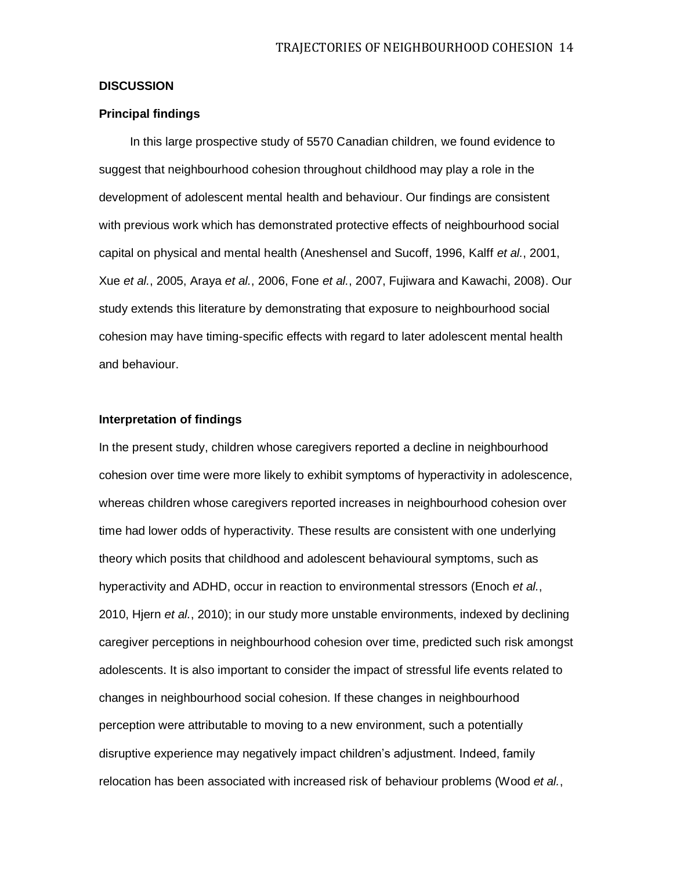# **DISCUSSION**

# **Principal findings**

In this large prospective study of 5570 Canadian children, we found evidence to suggest that neighbourhood cohesion throughout childhood may play a role in the development of adolescent mental health and behaviour. Our findings are consistent with previous work which has demonstrated protective effects of neighbourhood social capital on physical and mental health (Aneshensel and Sucoff, 1996, Kalff *et al.*, 2001, Xue *et al.*, 2005, Araya *et al.*, 2006, Fone *et al.*, 2007, Fujiwara and Kawachi, 2008). Our study extends this literature by demonstrating that exposure to neighbourhood social cohesion may have timing-specific effects with regard to later adolescent mental health and behaviour.

# **Interpretation of findings**

In the present study, children whose caregivers reported a decline in neighbourhood cohesion over time were more likely to exhibit symptoms of hyperactivity in adolescence, whereas children whose caregivers reported increases in neighbourhood cohesion over time had lower odds of hyperactivity. These results are consistent with one underlying theory which posits that childhood and adolescent behavioural symptoms, such as hyperactivity and ADHD, occur in reaction to environmental stressors (Enoch *et al.*, 2010, Hjern *et al.*, 2010); in our study more unstable environments, indexed by declining caregiver perceptions in neighbourhood cohesion over time, predicted such risk amongst adolescents. It is also important to consider the impact of stressful life events related to changes in neighbourhood social cohesion. If these changes in neighbourhood perception were attributable to moving to a new environment, such a potentially disruptive experience may negatively impact children's adjustment. Indeed, family relocation has been associated with increased risk of behaviour problems (Wood *et al.*,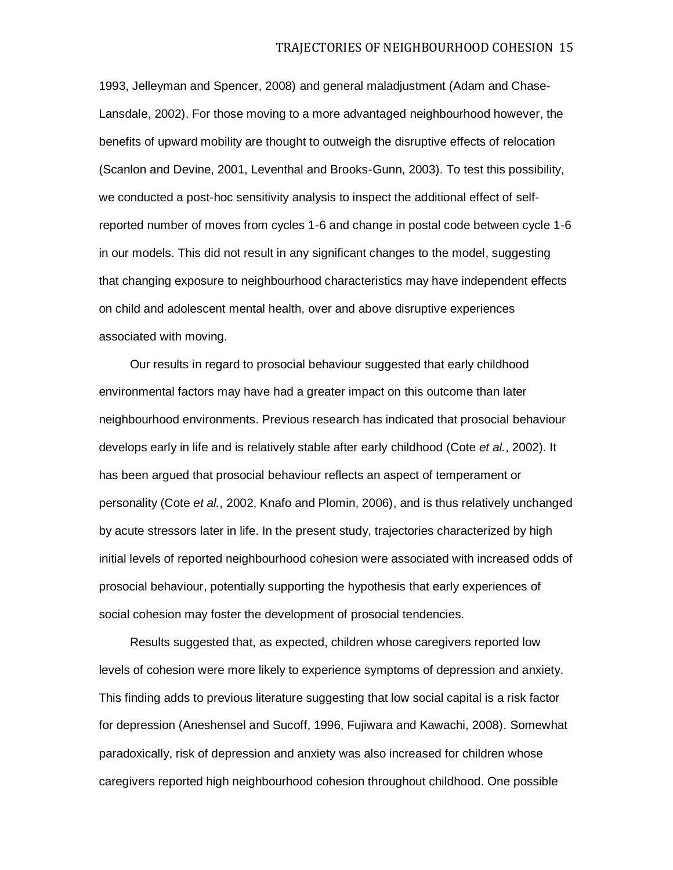1993, Jelleyman and Spencer, 2008) and general maladjustment (Adam and Chase-Lansdale, 2002). For those moving to a more advantaged neighbourhood however, the benefits of upward mobility are thought to outweigh the disruptive effects of relocation (Scanlon and Devine, 2001, Leventhal and Brooks-Gunn, 2003). To test this possibility, we conducted a post-hoc sensitivity analysis to inspect the additional effect of selfreported number of moves from cycles 1-6 and change in postal code between cycle 1-6 in our models. This did not result in any significant changes to the model, suggesting that changing exposure to neighbourhood characteristics may have independent effects on child and adolescent mental health, over and above disruptive experiences associated with moving.

Our results in regard to prosocial behaviour suggested that early childhood environmental factors may have had a greater impact on this outcome than later neighbourhood environments. Previous research has indicated that prosocial behaviour develops early in life and is relatively stable after early childhood (Cote *et al.*, 2002). It has been argued that prosocial behaviour reflects an aspect of temperament or personality (Cote *et al.*, 2002, Knafo and Plomin, 2006), and is thus relatively unchanged by acute stressors later in life. In the present study, trajectories characterized by high initial levels of reported neighbourhood cohesion were associated with increased odds of prosocial behaviour, potentially supporting the hypothesis that early experiences of social cohesion may foster the development of prosocial tendencies.

Results suggested that, as expected, children whose caregivers reported low levels of cohesion were more likely to experience symptoms of depression and anxiety. This finding adds to previous literature suggesting that low social capital is a risk factor for depression (Aneshensel and Sucoff, 1996, Fujiwara and Kawachi, 2008). Somewhat paradoxically, risk of depression and anxiety was also increased for children whose caregivers reported high neighbourhood cohesion throughout childhood. One possible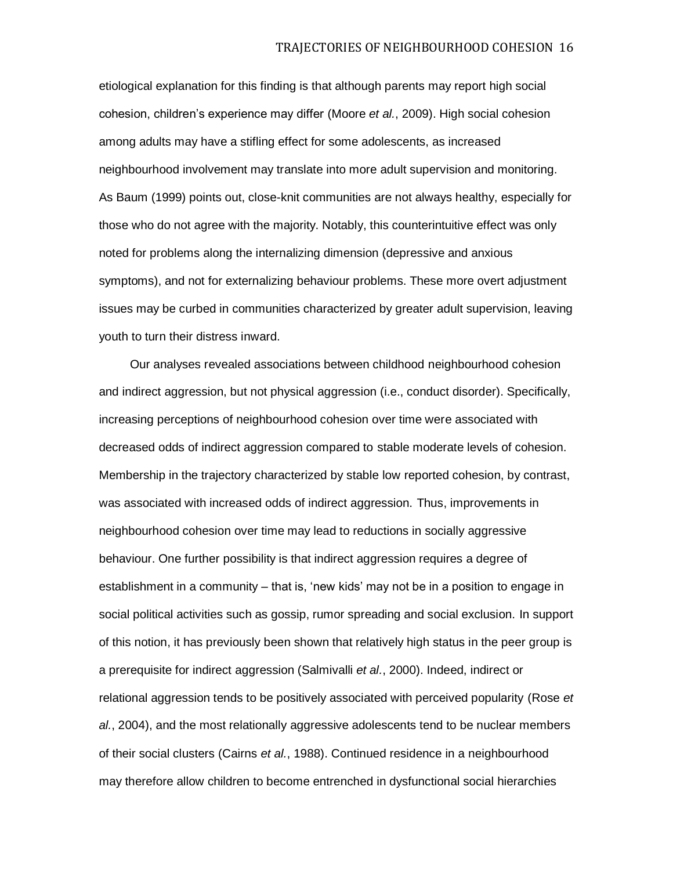etiological explanation for this finding is that although parents may report high social cohesion, children's experience may differ (Moore *et al.*, 2009). High social cohesion among adults may have a stifling effect for some adolescents, as increased neighbourhood involvement may translate into more adult supervision and monitoring. As Baum (1999) points out, close-knit communities are not always healthy, especially for those who do not agree with the majority. Notably, this counterintuitive effect was only noted for problems along the internalizing dimension (depressive and anxious symptoms), and not for externalizing behaviour problems. These more overt adjustment issues may be curbed in communities characterized by greater adult supervision, leaving youth to turn their distress inward.

Our analyses revealed associations between childhood neighbourhood cohesion and indirect aggression, but not physical aggression (i.e., conduct disorder). Specifically, increasing perceptions of neighbourhood cohesion over time were associated with decreased odds of indirect aggression compared to stable moderate levels of cohesion. Membership in the trajectory characterized by stable low reported cohesion, by contrast, was associated with increased odds of indirect aggression. Thus, improvements in neighbourhood cohesion over time may lead to reductions in socially aggressive behaviour. One further possibility is that indirect aggression requires a degree of establishment in a community – that is, 'new kids' may not be in a position to engage in social political activities such as gossip, rumor spreading and social exclusion. In support of this notion, it has previously been shown that relatively high status in the peer group is a prerequisite for indirect aggression (Salmivalli *et al.*, 2000). Indeed, indirect or relational aggression tends to be positively associated with perceived popularity (Rose *et al.*, 2004), and the most relationally aggressive adolescents tend to be nuclear members of their social clusters (Cairns *et al.*, 1988). Continued residence in a neighbourhood may therefore allow children to become entrenched in dysfunctional social hierarchies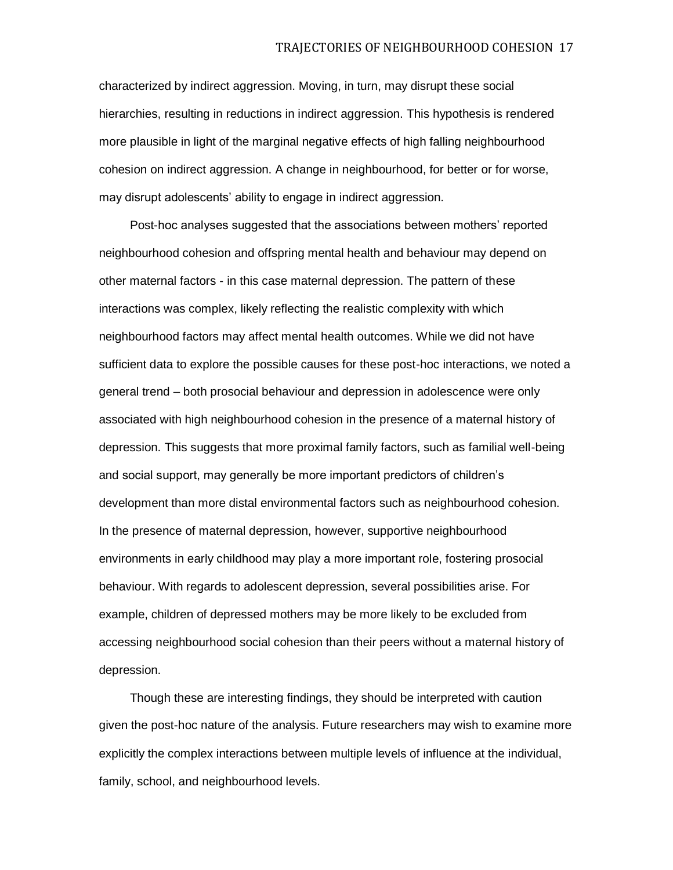characterized by indirect aggression. Moving, in turn, may disrupt these social hierarchies, resulting in reductions in indirect aggression. This hypothesis is rendered more plausible in light of the marginal negative effects of high falling neighbourhood cohesion on indirect aggression. A change in neighbourhood, for better or for worse, may disrupt adolescents' ability to engage in indirect aggression.

Post-hoc analyses suggested that the associations between mothers' reported neighbourhood cohesion and offspring mental health and behaviour may depend on other maternal factors - in this case maternal depression. The pattern of these interactions was complex, likely reflecting the realistic complexity with which neighbourhood factors may affect mental health outcomes. While we did not have sufficient data to explore the possible causes for these post-hoc interactions, we noted a general trend – both prosocial behaviour and depression in adolescence were only associated with high neighbourhood cohesion in the presence of a maternal history of depression. This suggests that more proximal family factors, such as familial well-being and social support, may generally be more important predictors of children's development than more distal environmental factors such as neighbourhood cohesion. In the presence of maternal depression, however, supportive neighbourhood environments in early childhood may play a more important role, fostering prosocial behaviour. With regards to adolescent depression, several possibilities arise. For example, children of depressed mothers may be more likely to be excluded from accessing neighbourhood social cohesion than their peers without a maternal history of depression.

Though these are interesting findings, they should be interpreted with caution given the post-hoc nature of the analysis. Future researchers may wish to examine more explicitly the complex interactions between multiple levels of influence at the individual, family, school, and neighbourhood levels.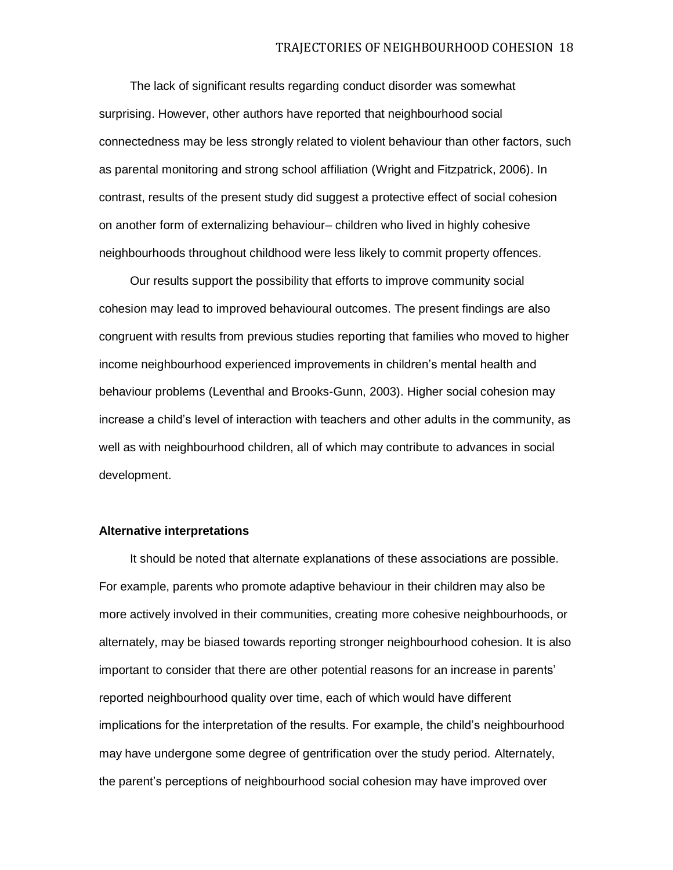The lack of significant results regarding conduct disorder was somewhat surprising. However, other authors have reported that neighbourhood social connectedness may be less strongly related to violent behaviour than other factors, such as parental monitoring and strong school affiliation (Wright and Fitzpatrick, 2006). In contrast, results of the present study did suggest a protective effect of social cohesion on another form of externalizing behaviour– children who lived in highly cohesive neighbourhoods throughout childhood were less likely to commit property offences.

Our results support the possibility that efforts to improve community social cohesion may lead to improved behavioural outcomes. The present findings are also congruent with results from previous studies reporting that families who moved to higher income neighbourhood experienced improvements in children's mental health and behaviour problems (Leventhal and Brooks-Gunn, 2003). Higher social cohesion may increase a child's level of interaction with teachers and other adults in the community, as well as with neighbourhood children, all of which may contribute to advances in social development.

### **Alternative interpretations**

It should be noted that alternate explanations of these associations are possible. For example, parents who promote adaptive behaviour in their children may also be more actively involved in their communities, creating more cohesive neighbourhoods, or alternately, may be biased towards reporting stronger neighbourhood cohesion. It is also important to consider that there are other potential reasons for an increase in parents' reported neighbourhood quality over time, each of which would have different implications for the interpretation of the results. For example, the child's neighbourhood may have undergone some degree of gentrification over the study period. Alternately, the parent's perceptions of neighbourhood social cohesion may have improved over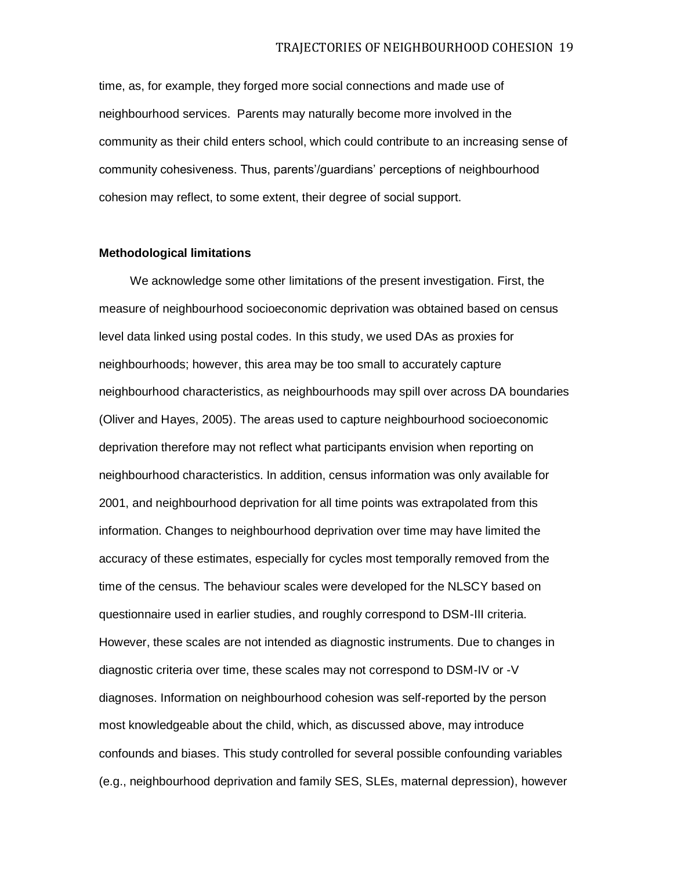time, as, for example, they forged more social connections and made use of neighbourhood services. Parents may naturally become more involved in the community as their child enters school, which could contribute to an increasing sense of community cohesiveness. Thus, parents'/guardians' perceptions of neighbourhood cohesion may reflect, to some extent, their degree of social support.

# **Methodological limitations**

We acknowledge some other limitations of the present investigation. First, the measure of neighbourhood socioeconomic deprivation was obtained based on census level data linked using postal codes. In this study, we used DAs as proxies for neighbourhoods; however, this area may be too small to accurately capture neighbourhood characteristics, as neighbourhoods may spill over across DA boundaries (Oliver and Hayes, 2005). The areas used to capture neighbourhood socioeconomic deprivation therefore may not reflect what participants envision when reporting on neighbourhood characteristics. In addition, census information was only available for 2001, and neighbourhood deprivation for all time points was extrapolated from this information. Changes to neighbourhood deprivation over time may have limited the accuracy of these estimates, especially for cycles most temporally removed from the time of the census. The behaviour scales were developed for the NLSCY based on questionnaire used in earlier studies, and roughly correspond to DSM-III criteria. However, these scales are not intended as diagnostic instruments. Due to changes in diagnostic criteria over time, these scales may not correspond to DSM-IV or -V diagnoses. Information on neighbourhood cohesion was self-reported by the person most knowledgeable about the child, which, as discussed above, may introduce confounds and biases. This study controlled for several possible confounding variables (e.g., neighbourhood deprivation and family SES, SLEs, maternal depression), however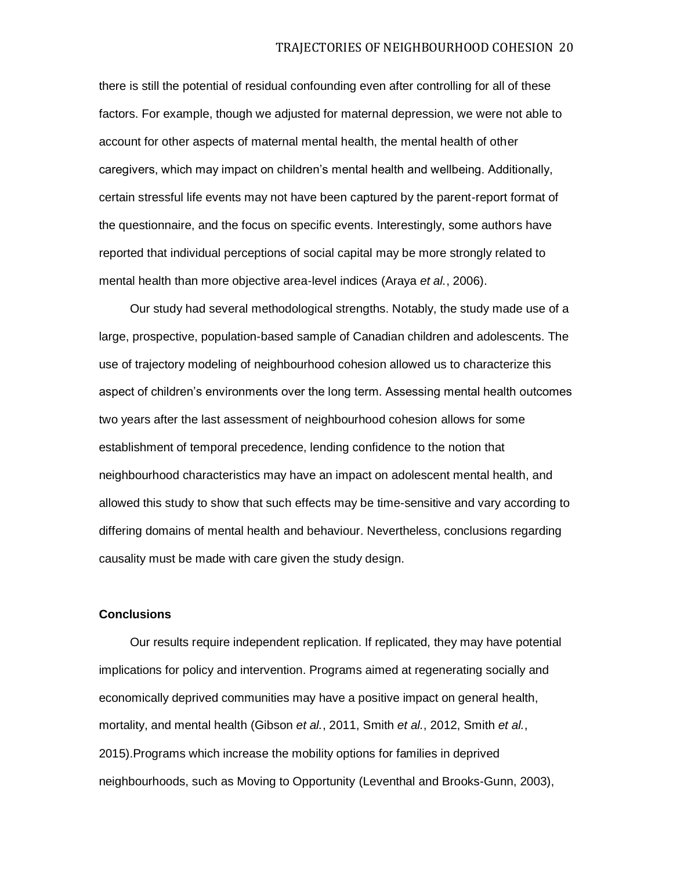there is still the potential of residual confounding even after controlling for all of these factors. For example, though we adjusted for maternal depression, we were not able to account for other aspects of maternal mental health, the mental health of other caregivers, which may impact on children's mental health and wellbeing. Additionally, certain stressful life events may not have been captured by the parent-report format of the questionnaire, and the focus on specific events. Interestingly, some authors have reported that individual perceptions of social capital may be more strongly related to mental health than more objective area-level indices (Araya *et al.*, 2006).

Our study had several methodological strengths. Notably, the study made use of a large, prospective, population-based sample of Canadian children and adolescents. The use of trajectory modeling of neighbourhood cohesion allowed us to characterize this aspect of children's environments over the long term. Assessing mental health outcomes two years after the last assessment of neighbourhood cohesion allows for some establishment of temporal precedence, lending confidence to the notion that neighbourhood characteristics may have an impact on adolescent mental health, and allowed this study to show that such effects may be time-sensitive and vary according to differing domains of mental health and behaviour. Nevertheless, conclusions regarding causality must be made with care given the study design.

#### **Conclusions**

Our results require independent replication. If replicated, they may have potential implications for policy and intervention. Programs aimed at regenerating socially and economically deprived communities may have a positive impact on general health, mortality, and mental health (Gibson *et al.*, 2011, Smith *et al.*, 2012, Smith *et al.*, 2015).Programs which increase the mobility options for families in deprived neighbourhoods, such as Moving to Opportunity (Leventhal and Brooks-Gunn, 2003),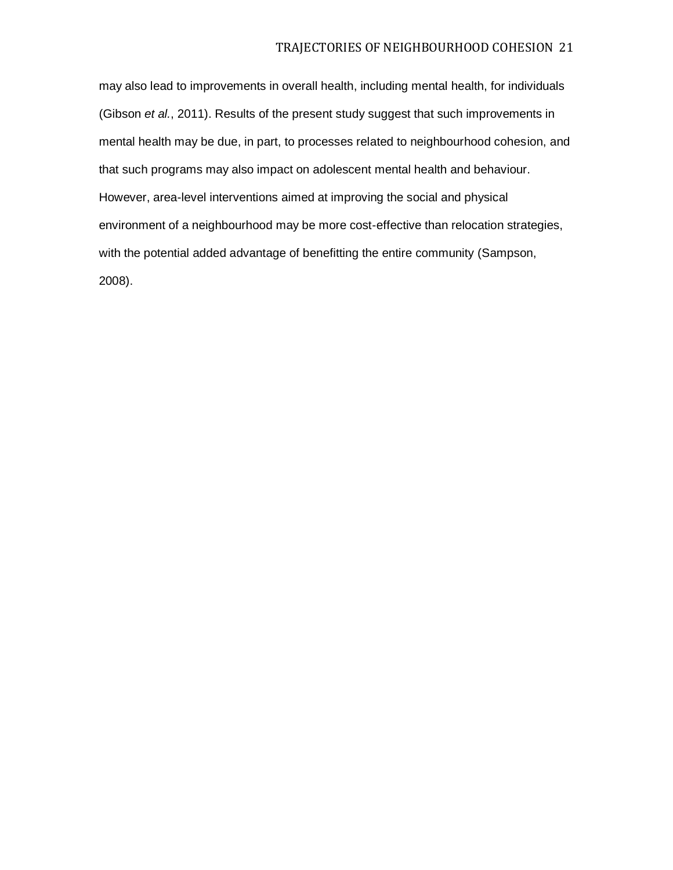may also lead to improvements in overall health, including mental health, for individuals (Gibson *et al.*, 2011). Results of the present study suggest that such improvements in mental health may be due, in part, to processes related to neighbourhood cohesion, and that such programs may also impact on adolescent mental health and behaviour. However, area-level interventions aimed at improving the social and physical environment of a neighbourhood may be more cost-effective than relocation strategies, with the potential added advantage of benefitting the entire community (Sampson, 2008).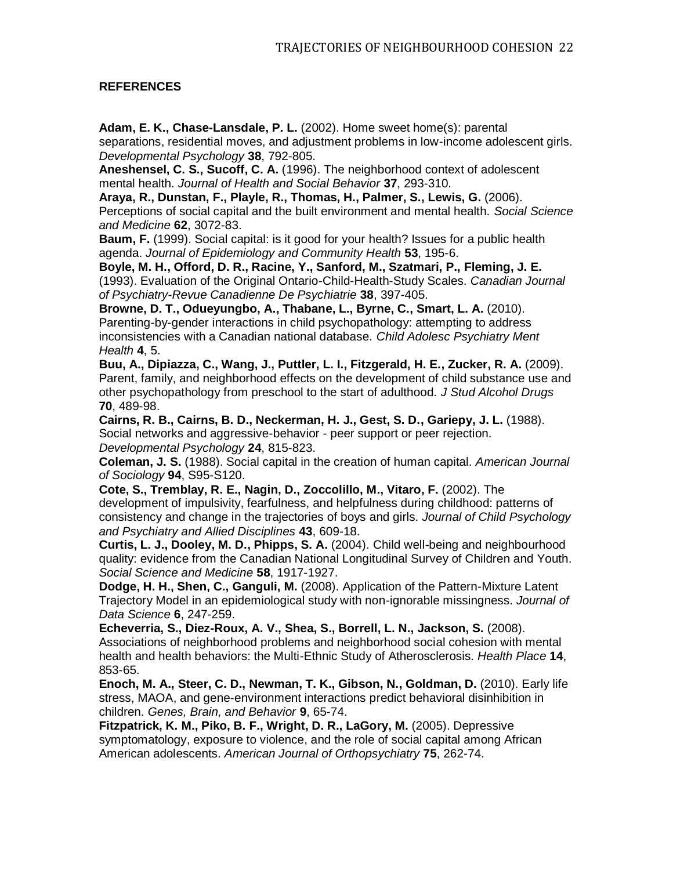# **REFERENCES**

**Adam, E. K., Chase-Lansdale, P. L.** (2002). Home sweet home(s): parental separations, residential moves, and adjustment problems in low-income adolescent girls. *Developmental Psychology* **38**, 792-805.

**Aneshensel, C. S., Sucoff, C. A.** (1996). The neighborhood context of adolescent mental health. *Journal of Health and Social Behavior* **37**, 293-310.

**Araya, R., Dunstan, F., Playle, R., Thomas, H., Palmer, S., Lewis, G.** (2006). Perceptions of social capital and the built environment and mental health. *Social Science and Medicine* **62**, 3072-83.

**Baum, F.** (1999). Social capital: is it good for your health? Issues for a public health agenda. *Journal of Epidemiology and Community Health* **53**, 195-6.

**Boyle, M. H., Offord, D. R., Racine, Y., Sanford, M., Szatmari, P., Fleming, J. E.**  (1993). Evaluation of the Original Ontario-Child-Health-Study Scales. *Canadian Journal of Psychiatry-Revue Canadienne De Psychiatrie* **38**, 397-405.

**Browne, D. T., Odueyungbo, A., Thabane, L., Byrne, C., Smart, L. A.** (2010). Parenting-by-gender interactions in child psychopathology: attempting to address inconsistencies with a Canadian national database. *Child Adolesc Psychiatry Ment Health* **4**, 5.

**Buu, A., Dipiazza, C., Wang, J., Puttler, L. I., Fitzgerald, H. E., Zucker, R. A.** (2009). Parent, family, and neighborhood effects on the development of child substance use and other psychopathology from preschool to the start of adulthood. *J Stud Alcohol Drugs* **70**, 489-98.

**Cairns, R. B., Cairns, B. D., Neckerman, H. J., Gest, S. D., Gariepy, J. L.** (1988). Social networks and aggressive-behavior - peer support or peer rejection. *Developmental Psychology* **24**, 815-823.

**Coleman, J. S.** (1988). Social capital in the creation of human capital. *American Journal of Sociology* **94**, S95-S120.

**Cote, S., Tremblay, R. E., Nagin, D., Zoccolillo, M., Vitaro, F. (2002).** The development of impulsivity, fearfulness, and helpfulness during childhood: patterns of consistency and change in the trajectories of boys and girls. *Journal of Child Psychology and Psychiatry and Allied Disciplines* **43**, 609-18.

**Curtis, L. J., Dooley, M. D., Phipps, S. A.** (2004). Child well-being and neighbourhood quality: evidence from the Canadian National Longitudinal Survey of Children and Youth. *Social Science and Medicine* **58**, 1917-1927.

**Dodge, H. H., Shen, C., Ganguli, M.** (2008). Application of the Pattern-Mixture Latent Trajectory Model in an epidemiological study with non-ignorable missingness. *Journal of Data Science* **6**, 247-259.

**Echeverria, S., Diez-Roux, A. V., Shea, S., Borrell, L. N., Jackson, S.** (2008). Associations of neighborhood problems and neighborhood social cohesion with mental health and health behaviors: the Multi-Ethnic Study of Atherosclerosis. *Health Place* **14**, 853-65.

**Enoch, M. A., Steer, C. D., Newman, T. K., Gibson, N., Goldman, D.** (2010). Early life stress, MAOA, and gene-environment interactions predict behavioral disinhibition in children. *Genes, Brain, and Behavior* **9**, 65-74.

**Fitzpatrick, K. M., Piko, B. F., Wright, D. R., LaGory, M.** (2005). Depressive symptomatology, exposure to violence, and the role of social capital among African American adolescents. *American Journal of Orthopsychiatry* **75**, 262-74.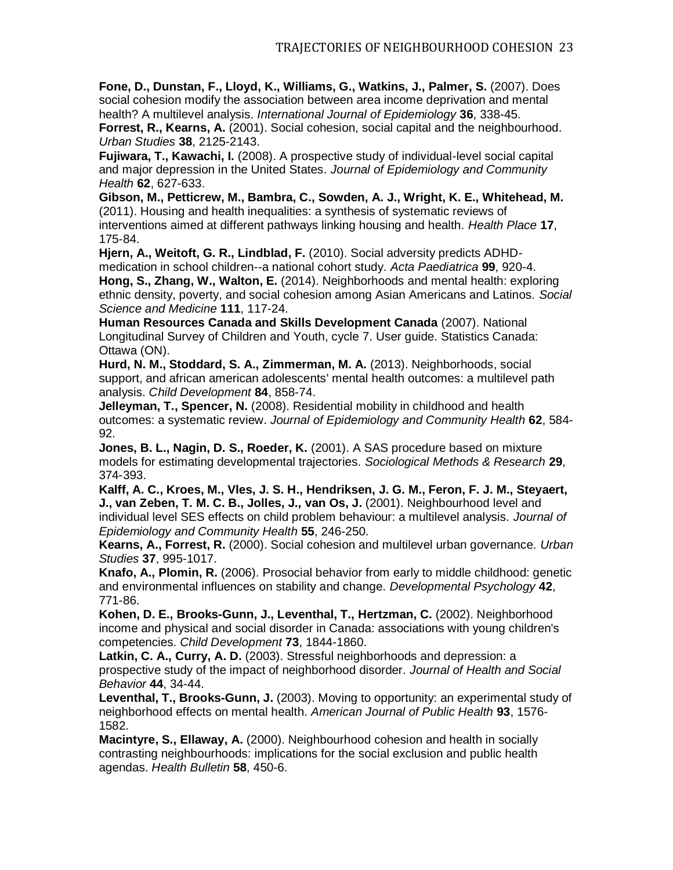**Fone, D., Dunstan, F., Lloyd, K., Williams, G., Watkins, J., Palmer, S.** (2007). Does social cohesion modify the association between area income deprivation and mental health? A multilevel analysis. *International Journal of Epidemiology* **36**, 338-45.

**Forrest, R., Kearns, A.** (2001). Social cohesion, social capital and the neighbourhood. *Urban Studies* **38**, 2125-2143.

**Fujiwara, T., Kawachi, I.** (2008). A prospective study of individual-level social capital and major depression in the United States. *Journal of Epidemiology and Community Health* **62**, 627-633.

**Gibson, M., Petticrew, M., Bambra, C., Sowden, A. J., Wright, K. E., Whitehead, M.**  (2011). Housing and health inequalities: a synthesis of systematic reviews of interventions aimed at different pathways linking housing and health. *Health Place* **17**, 175-84.

**Hjern, A., Weitoft, G. R., Lindblad, F.** (2010). Social adversity predicts ADHDmedication in school children--a national cohort study. *Acta Paediatrica* **99**, 920-4. **Hong, S., Zhang, W., Walton, E.** (2014). Neighborhoods and mental health: exploring ethnic density, poverty, and social cohesion among Asian Americans and Latinos. *Social Science and Medicine* **111**, 117-24.

**Human Resources Canada and Skills Development Canada** (2007). National Longitudinal Survey of Children and Youth, cycle 7. User guide. Statistics Canada: Ottawa (ON).

**Hurd, N. M., Stoddard, S. A., Zimmerman, M. A.** (2013). Neighborhoods, social support, and african american adolescents' mental health outcomes: a multilevel path analysis. *Child Development* **84**, 858-74.

**Jelleyman, T., Spencer, N.** (2008). Residential mobility in childhood and health outcomes: a systematic review. *Journal of Epidemiology and Community Health* **62**, 584- 92.

**Jones, B. L., Nagin, D. S., Roeder, K.** (2001). A SAS procedure based on mixture models for estimating developmental trajectories. *Sociological Methods & Research* **29**, 374-393.

**Kalff, A. C., Kroes, M., Vles, J. S. H., Hendriksen, J. G. M., Feron, F. J. M., Steyaert, J., van Zeben, T. M. C. B., Jolles, J., van Os, J.** (2001). Neighbourhood level and individual level SES effects on child problem behaviour: a multilevel analysis. *Journal of Epidemiology and Community Health* **55**, 246-250.

**Kearns, A., Forrest, R.** (2000). Social cohesion and multilevel urban governance. *Urban Studies* **37**, 995-1017.

**Knafo, A., Plomin, R.** (2006). Prosocial behavior from early to middle childhood: genetic and environmental influences on stability and change. *Developmental Psychology* **42**, 771-86.

**Kohen, D. E., Brooks-Gunn, J., Leventhal, T., Hertzman, C.** (2002). Neighborhood income and physical and social disorder in Canada: associations with young children's competencies. *Child Development* **73**, 1844-1860.

**Latkin, C. A., Curry, A. D.** (2003). Stressful neighborhoods and depression: a prospective study of the impact of neighborhood disorder. *Journal of Health and Social Behavior* **44**, 34-44.

**Leventhal, T., Brooks-Gunn, J.** (2003). Moving to opportunity: an experimental study of neighborhood effects on mental health. *American Journal of Public Health* **93**, 1576- 1582.

**Macintyre, S., Ellaway, A.** (2000). Neighbourhood cohesion and health in socially contrasting neighbourhoods: implications for the social exclusion and public health agendas. *Health Bulletin* **58**, 450-6.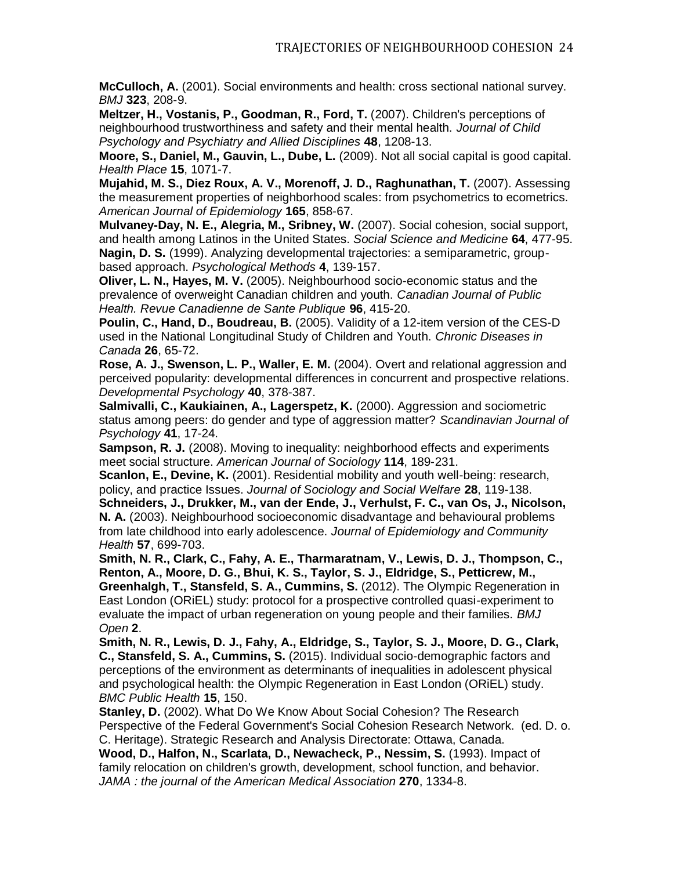**McCulloch, A.** (2001). Social environments and health: cross sectional national survey. *BMJ* **323**, 208-9.

**Meltzer, H., Vostanis, P., Goodman, R., Ford, T.** (2007). Children's perceptions of neighbourhood trustworthiness and safety and their mental health. *Journal of Child Psychology and Psychiatry and Allied Disciplines* **48**, 1208-13.

**Moore, S., Daniel, M., Gauvin, L., Dube, L.** (2009). Not all social capital is good capital. *Health Place* **15**, 1071-7.

**Mujahid, M. S., Diez Roux, A. V., Morenoff, J. D., Raghunathan, T.** (2007). Assessing the measurement properties of neighborhood scales: from psychometrics to ecometrics. *American Journal of Epidemiology* **165**, 858-67.

**Mulvaney-Day, N. E., Alegria, M., Sribney, W.** (2007). Social cohesion, social support, and health among Latinos in the United States. *Social Science and Medicine* **64**, 477-95. **Nagin, D. S.** (1999). Analyzing developmental trajectories: a semiparametric, groupbased approach. *Psychological Methods* **4**, 139-157.

**Oliver, L. N., Hayes, M. V.** (2005). Neighbourhood socio-economic status and the prevalence of overweight Canadian children and youth. *Canadian Journal of Public Health. Revue Canadienne de Sante Publique* **96**, 415-20.

**Poulin, C., Hand, D., Boudreau, B.** (2005). Validity of a 12-item version of the CES-D used in the National Longitudinal Study of Children and Youth. *Chronic Diseases in Canada* **26**, 65-72.

**Rose, A. J., Swenson, L. P., Waller, E. M.** (2004). Overt and relational aggression and perceived popularity: developmental differences in concurrent and prospective relations. *Developmental Psychology* **40**, 378-387.

**Salmivalli, C., Kaukiainen, A., Lagerspetz, K.** (2000). Aggression and sociometric status among peers: do gender and type of aggression matter? *Scandinavian Journal of Psychology* **41**, 17-24.

**Sampson, R. J.** (2008). Moving to inequality: neighborhood effects and experiments meet social structure. *American Journal of Sociology* **114**, 189-231.

**Scanlon, E., Devine, K.** (2001). Residential mobility and youth well-being: research, policy, and practice Issues. *Journal of Sociology and Social Welfare* **28**, 119-138.

**Schneiders, J., Drukker, M., van der Ende, J., Verhulst, F. C., van Os, J., Nicolson, N. A.** (2003). Neighbourhood socioeconomic disadvantage and behavioural problems from late childhood into early adolescence. *Journal of Epidemiology and Community Health* **57**, 699-703.

**Smith, N. R., Clark, C., Fahy, A. E., Tharmaratnam, V., Lewis, D. J., Thompson, C., Renton, A., Moore, D. G., Bhui, K. S., Taylor, S. J., Eldridge, S., Petticrew, M., Greenhalgh, T., Stansfeld, S. A., Cummins, S.** (2012). The Olympic Regeneration in East London (ORiEL) study: protocol for a prospective controlled quasi-experiment to evaluate the impact of urban regeneration on young people and their families. *BMJ Open* **2**.

**Smith, N. R., Lewis, D. J., Fahy, A., Eldridge, S., Taylor, S. J., Moore, D. G., Clark, C., Stansfeld, S. A., Cummins, S.** (2015). Individual socio-demographic factors and perceptions of the environment as determinants of inequalities in adolescent physical and psychological health: the Olympic Regeneration in East London (ORiEL) study. *BMC Public Health* **15**, 150.

**Stanley, D.** (2002). What Do We Know About Social Cohesion? The Research Perspective of the Federal Government's Social Cohesion Research Network. (ed. D. o. C. Heritage). Strategic Research and Analysis Directorate: Ottawa, Canada.

**Wood, D., Halfon, N., Scarlata, D., Newacheck, P., Nessim, S.** (1993). Impact of family relocation on children's growth, development, school function, and behavior. *JAMA : the journal of the American Medical Association* **270**, 1334-8.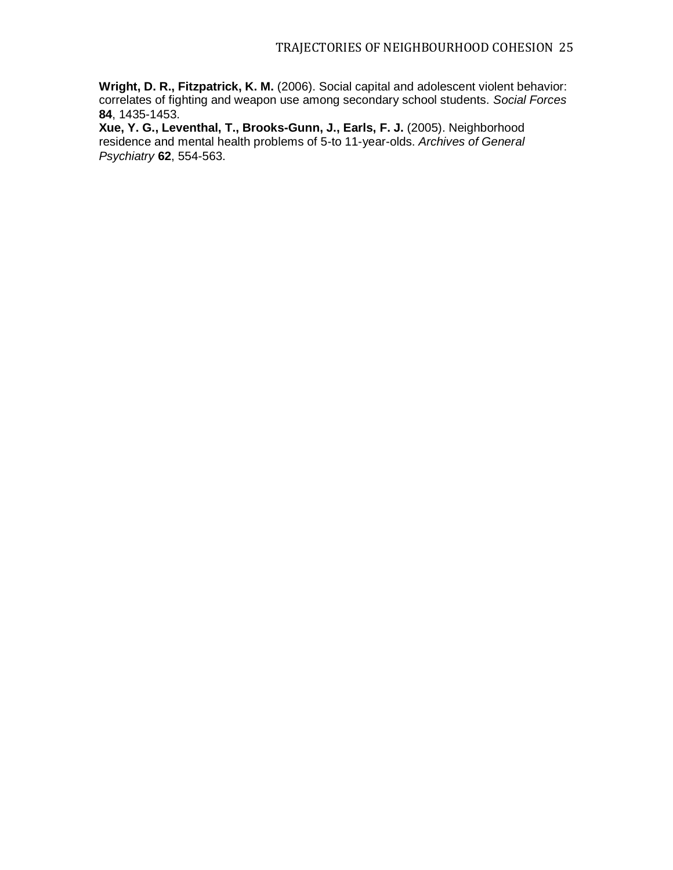**Wright, D. R., Fitzpatrick, K. M.** (2006). Social capital and adolescent violent behavior: correlates of fighting and weapon use among secondary school students. *Social Forces* **84**, 1435-1453.

**Xue, Y. G., Leventhal, T., Brooks-Gunn, J., Earls, F. J.** (2005). Neighborhood residence and mental health problems of 5-to 11-year-olds. *Archives of General Psychiatry* **62**, 554-563.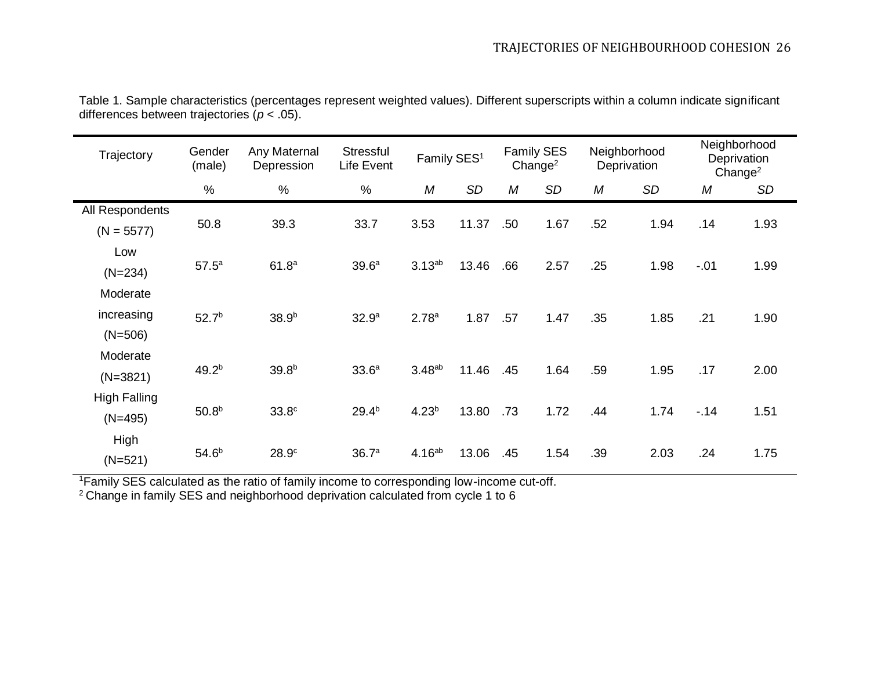| Trajectory                          | Gender<br>(male)  | Any Maternal<br>Depression | Stressful<br>Life Event | Family SES <sup>1</sup> |           | <b>Family SES</b><br>Change $2$ |           | Neighborhood<br>Deprivation |           | Neighborhood<br>Deprivation<br>Change <sup>2</sup> |      |
|-------------------------------------|-------------------|----------------------------|-------------------------|-------------------------|-----------|---------------------------------|-----------|-----------------------------|-----------|----------------------------------------------------|------|
|                                     | $\%$              | $\%$                       | %                       | M                       | <b>SD</b> | M                               | <b>SD</b> | М                           | <b>SD</b> | M                                                  | SD   |
| All Respondents<br>$(N = 5577)$     | 50.8              | 39.3                       | 33.7                    | 3.53                    | 11.37     | .50                             | 1.67      | .52                         | 1.94      | .14                                                | 1.93 |
| Low<br>$(N=234)$                    | 57.5 <sup>a</sup> | 61.8 <sup>a</sup>          | 39.6 <sup>a</sup>       | 3.13 <sup>ab</sup>      | 13.46     | .66                             | 2.57      | .25                         | 1.98      | $-.01$                                             | 1.99 |
| Moderate<br>increasing<br>$(N=506)$ | 52.7 <sup>b</sup> | 38.9 <sup>b</sup>          | 32.9 <sup>a</sup>       | 2.78 <sup>a</sup>       | 1.87      | .57                             | 1.47      | .35                         | 1.85      | .21                                                | 1.90 |
| Moderate<br>$(N=3821)$              | 49.2 <sup>b</sup> | 39.8 <sup>b</sup>          | 33.6 <sup>a</sup>       | 3.48 <sup>ab</sup>      | 11.46     | .45                             | 1.64      | .59                         | 1.95      | .17                                                | 2.00 |
| <b>High Falling</b><br>$(N=495)$    | 50.8 <sup>b</sup> | 33.8 <sup>c</sup>          | $29.4^{b}$              | $4.23^{b}$              | 13.80     | .73                             | 1.72      | .44                         | 1.74      | $-14$                                              | 1.51 |
| High<br>$(N=521)$                   | $54.6^{b}$        | 28.9 <sup>c</sup>          | 36.7 <sup>a</sup>       | 4.16 <sup>ab</sup>      | 13.06     | .45                             | 1.54      | .39                         | 2.03      | .24                                                | 1.75 |

Table 1. Sample characteristics (percentages represent weighted values). Different superscripts within a column indicate significant differences between trajectories (*p* < .05).

<sup>1</sup>Family SES calculated as the ratio of family income to corresponding low-income cut-off.

 $2$  Change in family SES and neighborhood deprivation calculated from cycle 1 to 6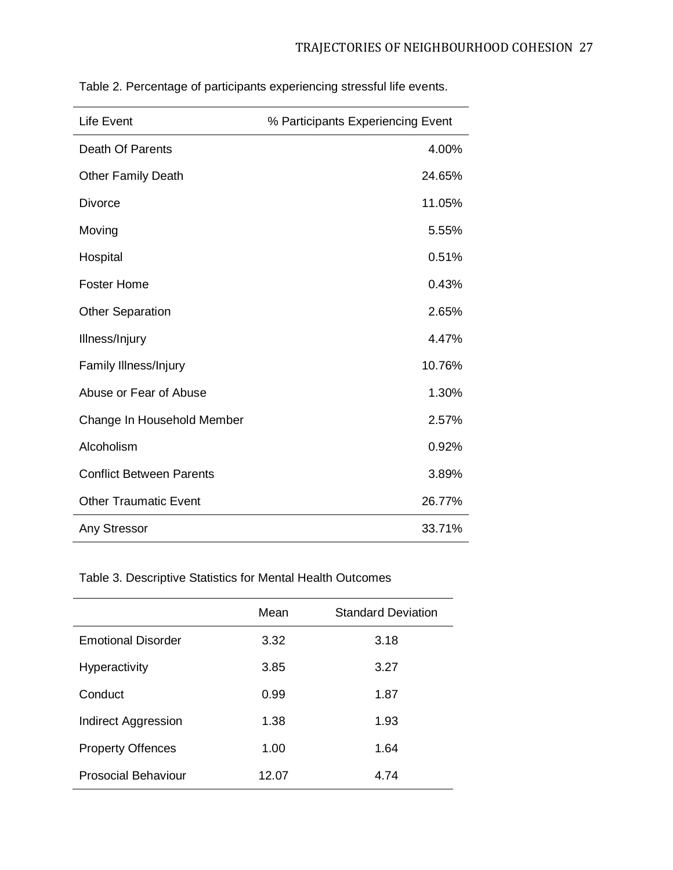| <b>Life Event</b>               | % Participants Experiencing Event |  |  |  |
|---------------------------------|-----------------------------------|--|--|--|
| Death Of Parents                | 4.00%                             |  |  |  |
| <b>Other Family Death</b>       | 24.65%                            |  |  |  |
| <b>Divorce</b>                  | 11.05%                            |  |  |  |
| Moving                          | 5.55%                             |  |  |  |
| Hospital                        | 0.51%                             |  |  |  |
| <b>Foster Home</b>              | 0.43%                             |  |  |  |
| <b>Other Separation</b>         | 2.65%                             |  |  |  |
| Illness/Injury                  | 4.47%                             |  |  |  |
| Family Illness/Injury           | 10.76%                            |  |  |  |
| Abuse or Fear of Abuse          | 1.30%                             |  |  |  |
| Change In Household Member      | 2.57%                             |  |  |  |
| Alcoholism                      | 0.92%                             |  |  |  |
| <b>Conflict Between Parents</b> | 3.89%                             |  |  |  |
| <b>Other Traumatic Event</b>    | 26.77%                            |  |  |  |
| <b>Any Stressor</b>             | 33.71%                            |  |  |  |

Table 2. Percentage of participants experiencing stressful life events.

Table 3. Descriptive Statistics for Mental Health Outcomes

|                            | Mean  | <b>Standard Deviation</b> |
|----------------------------|-------|---------------------------|
| <b>Emotional Disorder</b>  | 3.32  | 3.18                      |
| <b>Hyperactivity</b>       | 3.85  | 3.27                      |
| Conduct                    | 0.99  | 1.87                      |
| <b>Indirect Aggression</b> | 1.38  | 1.93                      |
| <b>Property Offences</b>   | 1.00  | 1.64                      |
| <b>Prosocial Behaviour</b> | 12.07 | 4.74                      |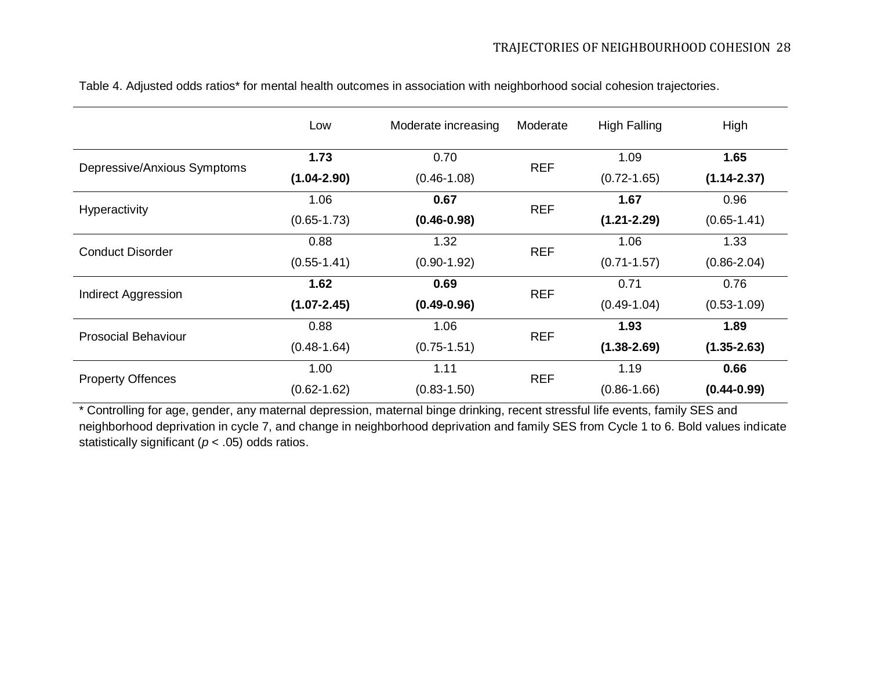|                             | Low             | Moderate increasing | Moderate   | <b>High Falling</b> | High            |
|-----------------------------|-----------------|---------------------|------------|---------------------|-----------------|
|                             | 1.73            | 0.70                | <b>REF</b> | 1.09                | 1.65            |
| Depressive/Anxious Symptoms | $(1.04 - 2.90)$ | $(0.46 - 1.08)$     |            | $(0.72 - 1.65)$     | $(1.14 - 2.37)$ |
|                             | 1.06            | 0.67                | <b>REF</b> | 1.67                | 0.96            |
| Hyperactivity               | $(0.65 - 1.73)$ | $(0.46 - 0.98)$     |            | $(1.21 - 2.29)$     | $(0.65 - 1.41)$ |
| <b>Conduct Disorder</b>     | 0.88            | 1.32                | <b>REF</b> | 1.06                | 1.33            |
|                             | $(0.55 - 1.41)$ | $(0.90 - 1.92)$     |            | $(0.71 - 1.57)$     | $(0.86 - 2.04)$ |
| <b>Indirect Aggression</b>  | 1.62            | 0.69                | <b>REF</b> | 0.71                | 0.76            |
|                             | $(1.07 - 2.45)$ | $(0.49 - 0.96)$     |            | $(0.49 - 1.04)$     | $(0.53 - 1.09)$ |
| <b>Prosocial Behaviour</b>  | 0.88            | 1.06                | <b>REF</b> | 1.93                | 1.89            |
|                             | $(0.48 - 1.64)$ | $(0.75 - 1.51)$     |            | $(1.38 - 2.69)$     | $(1.35 - 2.63)$ |
|                             | 1.00            | 1.11                | <b>REF</b> | 1.19                | 0.66            |
| <b>Property Offences</b>    | $(0.62 - 1.62)$ | $(0.83 - 1.50)$     |            | $(0.86 - 1.66)$     | $(0.44 - 0.99)$ |

Table 4. Adjusted odds ratios\* for mental health outcomes in association with neighborhood social cohesion trajectories.

\* Controlling for age, gender, any maternal depression, maternal binge drinking, recent stressful life events, family SES and neighborhood deprivation in cycle 7, and change in neighborhood deprivation and family SES from Cycle 1 to 6. Bold values indicate statistically significant (*p* < .05) odds ratios.